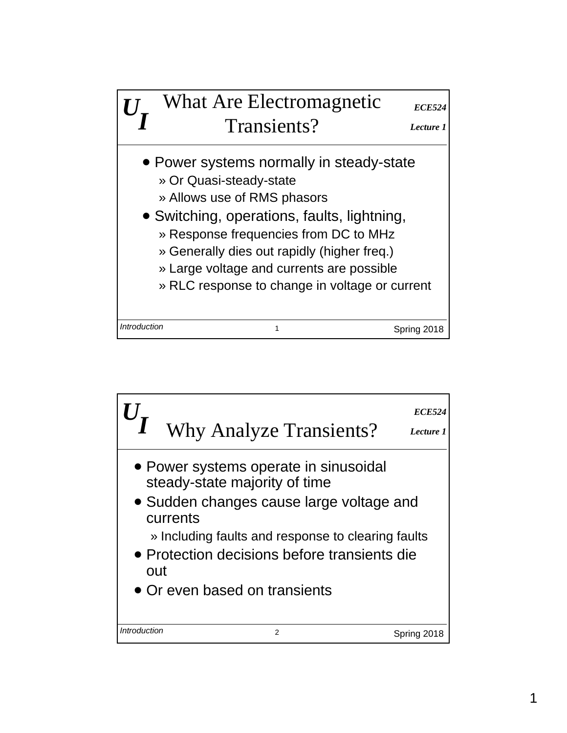

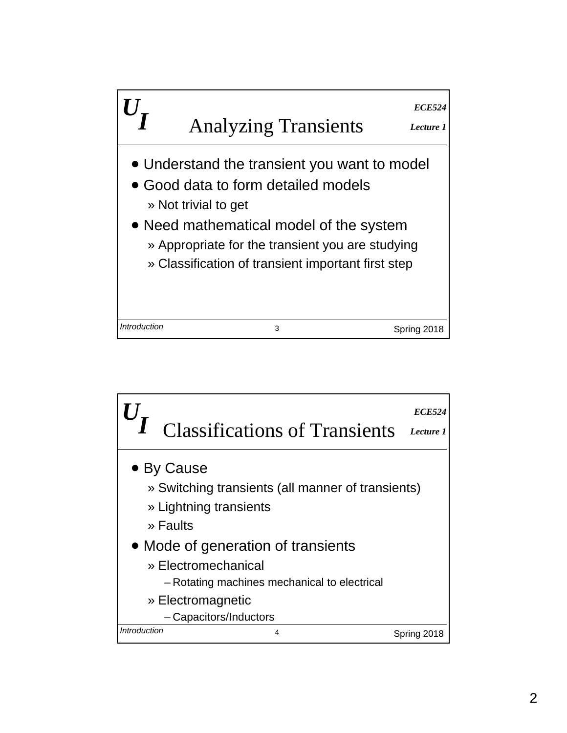

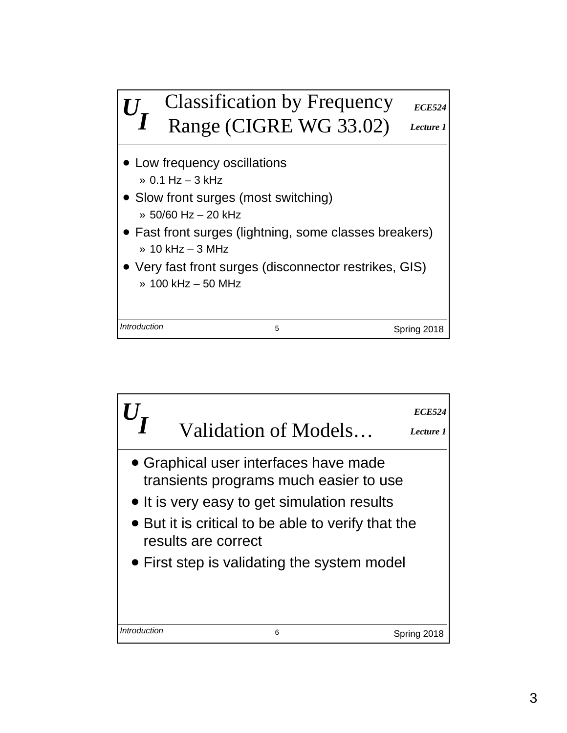

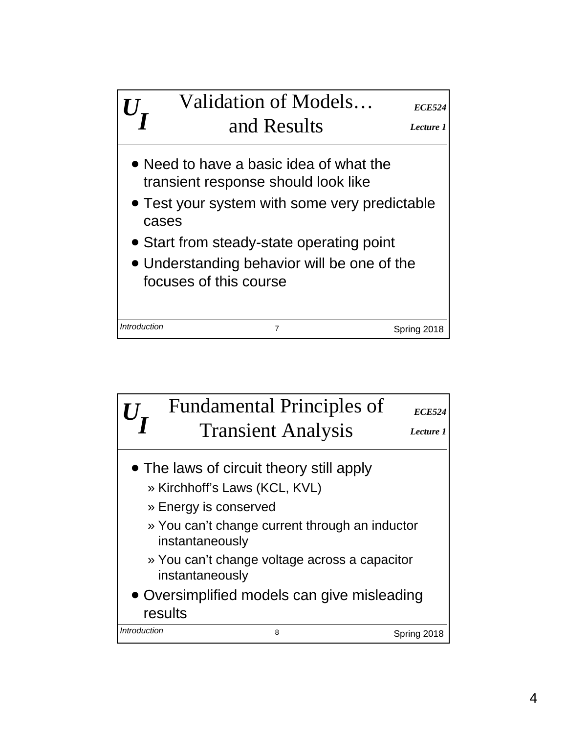

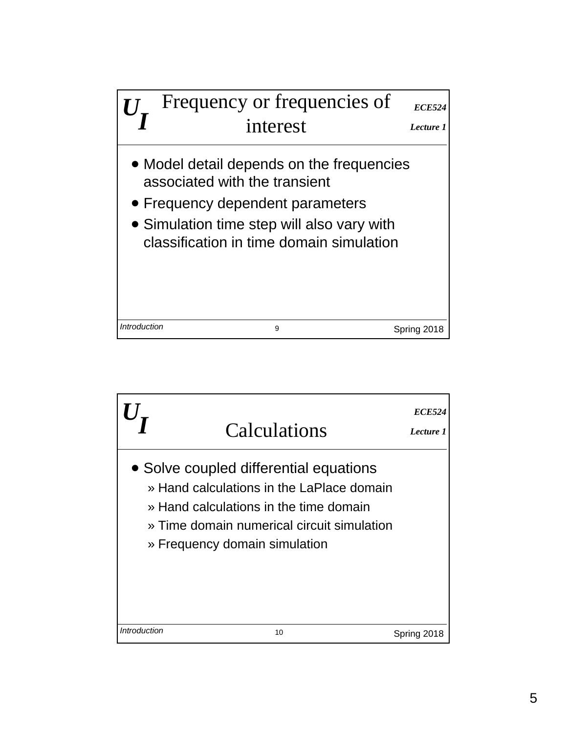

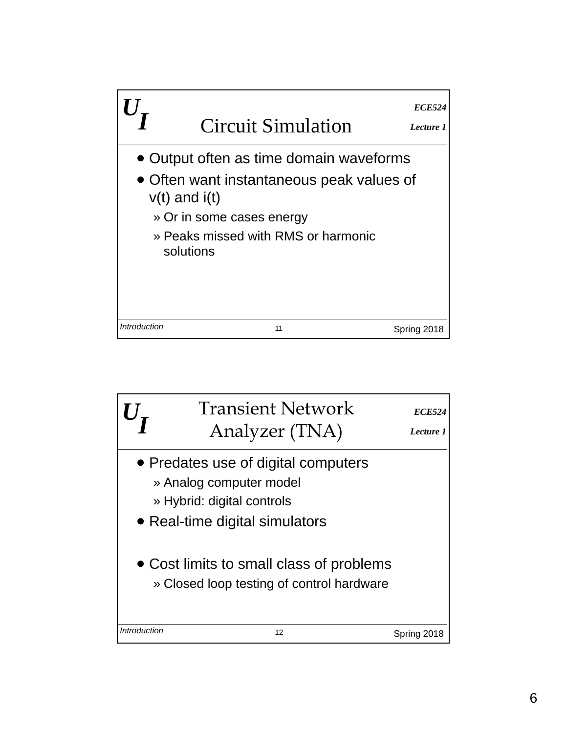

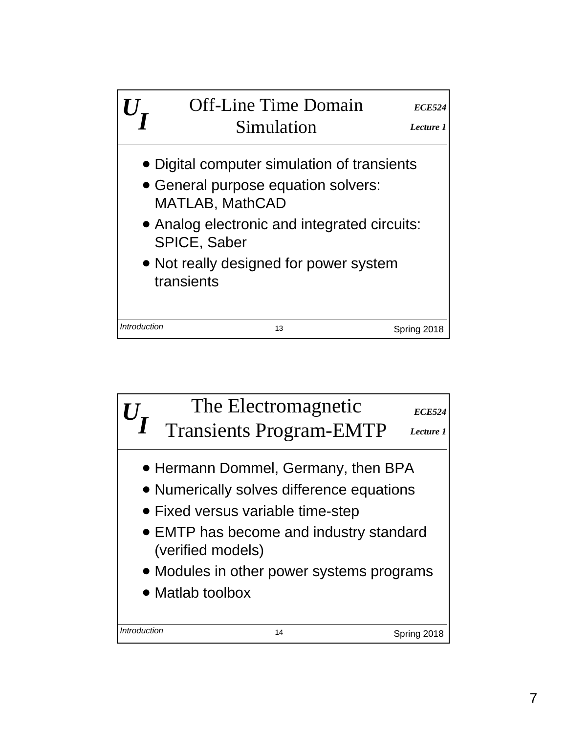

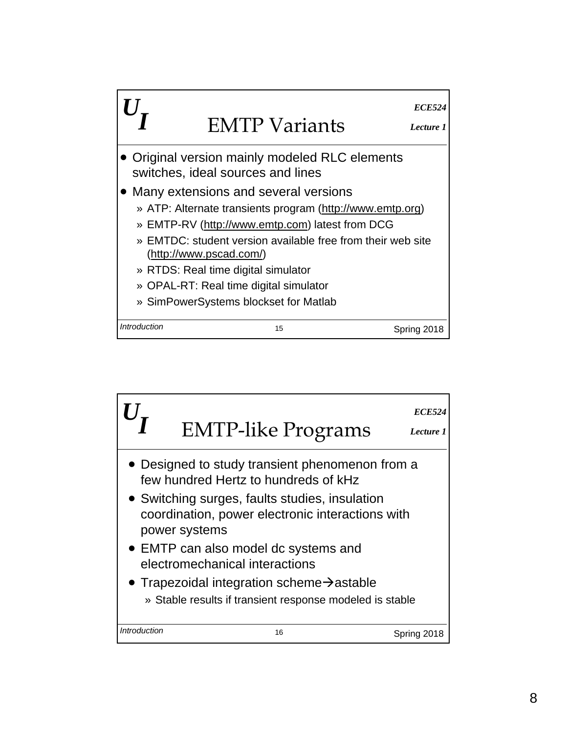

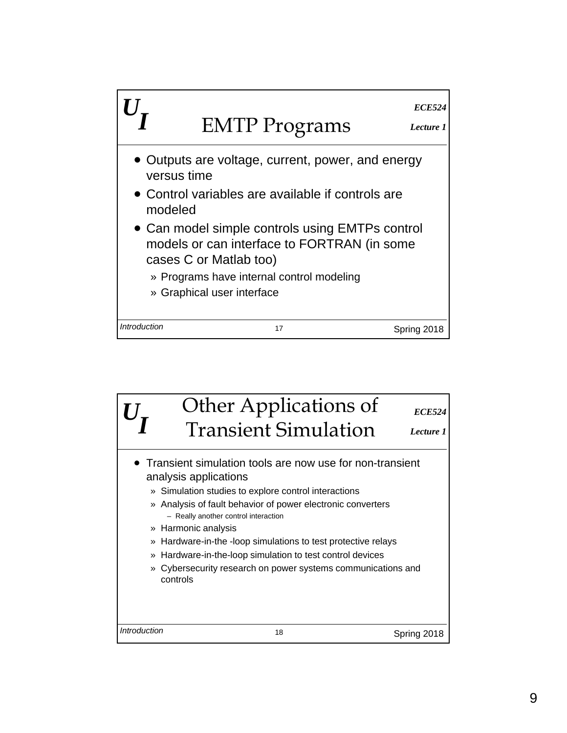

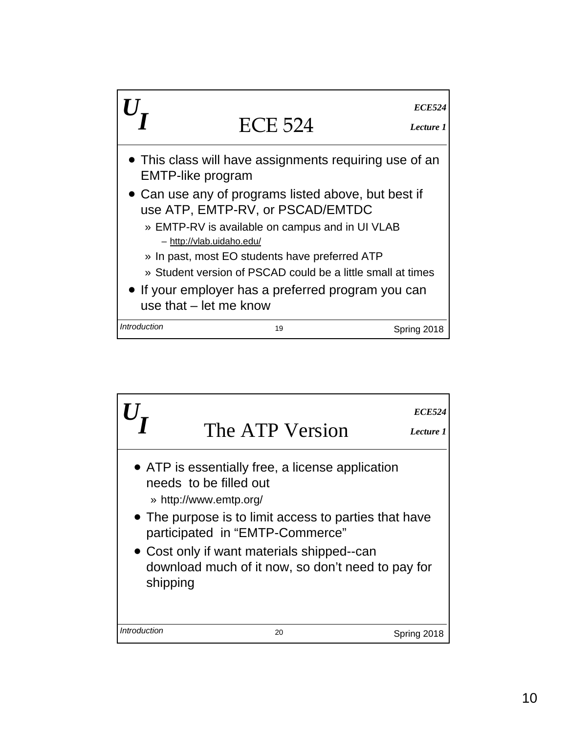

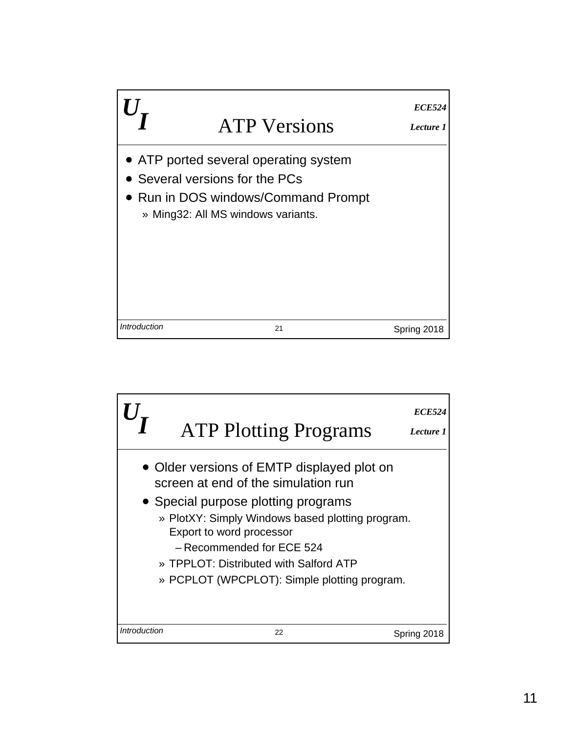

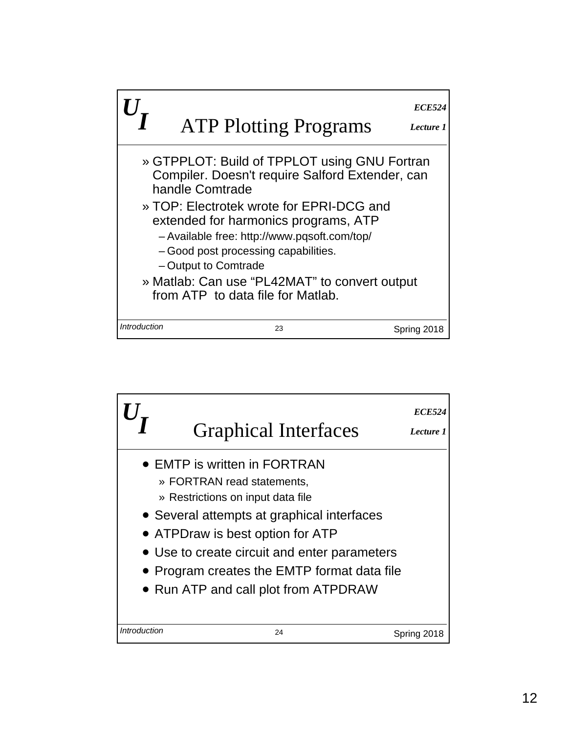

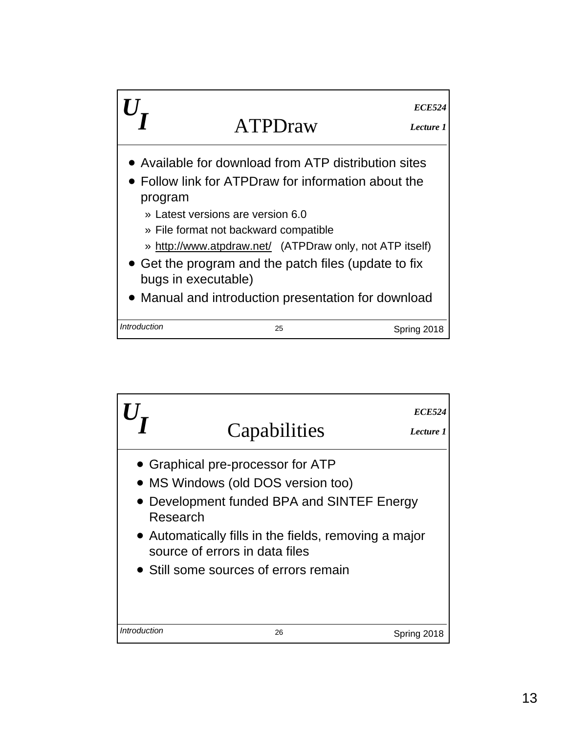

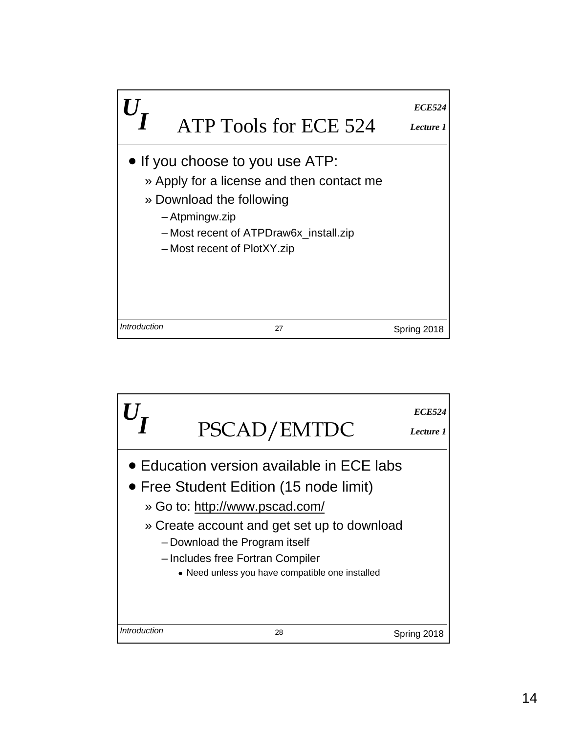